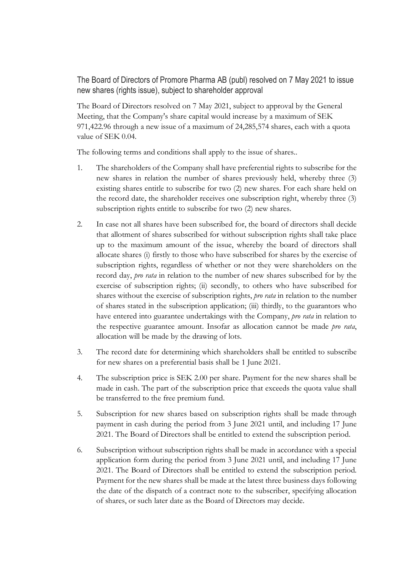The Board of Directors of Promore Pharma AB (publ) resolved on 7 May 2021 to issue new shares (rights issue), subject to shareholder approval

The Board of Directors resolved on 7 May 2021, subject to approval by the General Meeting, that the Company's share capital would increase by a maximum of SEK 971,422.96 through a new issue of a maximum of 24,285,574 shares, each with a quota value of SEK 0.04.

The following terms and conditions shall apply to the issue of shares..

- 1. The shareholders of the Company shall have preferential rights to subscribe for the new shares in relation the number of shares previously held, whereby three (3) existing shares entitle to subscribe for two (2) new shares. For each share held on the record date, the shareholder receives one subscription right, whereby three (3) subscription rights entitle to subscribe for two (2) new shares.
- 2. In case not all shares have been subscribed for, the board of directors shall decide that allotment of shares subscribed for without subscription rights shall take place up to the maximum amount of the issue, whereby the board of directors shall allocate shares (i) firstly to those who have subscribed for shares by the exercise of subscription rights, regardless of whether or not they were shareholders on the record day, *pro rata* in relation to the number of new shares subscribed for by the exercise of subscription rights; (ii) secondly, to others who have subscribed for shares without the exercise of subscription rights, *pro rata* in relation to the number of shares stated in the subscription application; (iii) thirdly, to the guarantors who have entered into guarantee undertakings with the Company, *pro rata* in relation to the respective guarantee amount. Insofar as allocation cannot be made *pro rata*, allocation will be made by the drawing of lots.
- 3. The record date for determining which shareholders shall be entitled to subscribe for new shares on a preferential basis shall be 1 June 2021.
- 4. The subscription price is SEK 2.00 per share. Payment for the new shares shall be made in cash. The part of the subscription price that exceeds the quota value shall be transferred to the free premium fund.
- 5. Subscription for new shares based on subscription rights shall be made through payment in cash during the period from 3 June 2021 until, and including 17 June 2021. The Board of Directors shall be entitled to extend the subscription period.
- 6. Subscription without subscription rights shall be made in accordance with a special application form during the period from 3 June 2021 until, and including 17 June 2021. The Board of Directors shall be entitled to extend the subscription period. Payment for the new shares shall be made at the latest three business days following the date of the dispatch of a contract note to the subscriber, specifying allocation of shares, or such later date as the Board of Directors may decide.